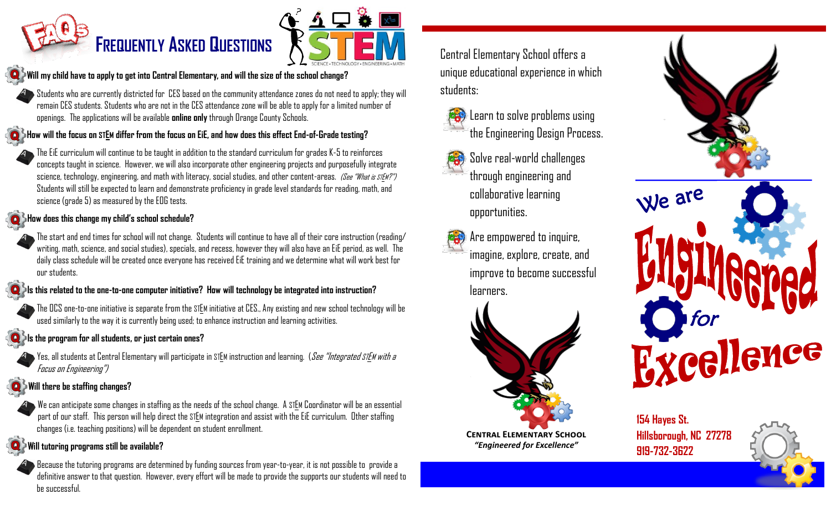# **FREQUENTLY ASKED QUESTIONS**



#### **Will my child have to apply to get into Central Elementary, and will the size of the school change?**

 $\blacktriangleright$  Students who are currently districted for CES based on the community attendance zones do not need to apply; they will remain CES students. Students who are not in the CES attendance zone will be able to apply for a limited number of openings. The applications will be available **online only**through Orange County Schools. A

#### **C** How will the focus on STEM differ from the focus on EiE, and how does this effect End-of-Grade testing?

The EiE curriculum will continue to be taught in addition to the standard curriculum for grades K-5 to reinforces concepts taught in science. However, we will also incorporate other engineering projects and purposefully integrate science, technology, engineering, and math with literacy, social studies, and other content-areas. (See "What is STEM?") Students will still be expected to learn and demonstrate proficiency in grade level standards for reading, math, and science (grade 5) as measured by the EOG tests.

#### **C** How does this change my child's school schedule?

A

A

A



#### **Is this related to the one-to-one computer initiative? How will technology be integrated into instruction?**

The OCS one-to-one initiative is separate from the STEM initiative at CES., Any existing and new school technology will be used similarly to the way it is currently being used; to enhance instruction and learning activities.

#### **Is the program for all students, or just certain ones?**

Yes, all students at Central Elementary will participate in STEM instruction and learning. (See "Integrated STEM with a Focus on Engineering") A

#### **Will there be staffing changes?**



#### **Will tutoring programs still be available?**

Because the tutoring programs are determined by funding sources from year-to-year, it is not possible to provide a definitive answer to that question. However, every effort will be made to provide the supports our students will need to be successful.

Central Elementary School offers a unique educational experience in which students:



## Learn to solve problems using the Engineering Design Process.

- Solve real-world challenges through engineering and collaborative learning opportunities.
- Are empowered to inquire, imagine, explore, create, and improve to become successful learners.





**154 Hayes St. Hillsborough, NC 27278 919-732-3622**